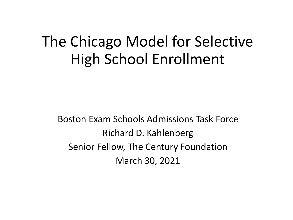# The Chicago Model for Selective High School Enrollment

Boston Exam Schools Admissions Task Force Richard D. Kahlenberg Senior Fellow, The Century Foundation March 30, 2021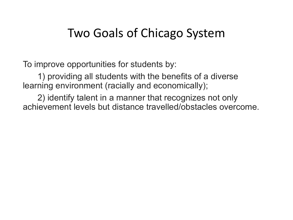#### Two Goals of Chicago System

To improve opportunities for students by:

1) providing all students with the benefits of a diverse learning environment (racially and economically);

2) identify talent in a manner that recognizes not only achievement levels but distance travelled/obstacles overcome.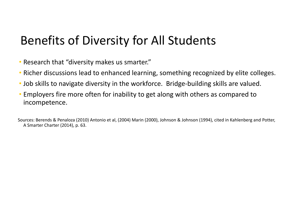### Benefits of Diversity for All Students

- Research that "diversity makes us smarter."
- Richer discussions lead to enhanced learning, something recognized by elite colleges.
- Job skills to navigate diversity in the workforce. Bridge-building skills are valued.
- Employers fire more often for inability to get along with others as compared to incompetence.

Sources: Berends & Penaloza (2010) Antonio et al, (2004) Marin (2000), Johnson & Johnson (1994), cited in Kahlenberg and Potter, A Smarter Charter (2014), p. 63.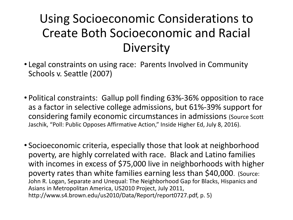## Using Socioeconomic Considerations to Create Both Socioeconomic and Racial **Diversity**

- Legal constraints on using race: Parents Involved in Community Schools v. Seattle (2007)
- Political constraints: Gallup poll finding 63%-36% opposition to race as a factor in selective college admissions, but 61%-39% support for considering family economic circumstances in admissions (Source Scott Jaschik, "Poll: Public Opposes Affirmative Action," Inside Higher Ed, July 8, 2016).
- Socioeconomic criteria, especially those that look at neighborhood poverty, are highly correlated with race. Black and Latino families with incomes in excess of \$75,000 live in neighborhoods with higher poverty rates than white families earning less than \$40,000. (Source: John R. Logan, Separate and Unequal: The Neighborhood Gap for Blacks, Hispanics and Asians in Metropolitan America, US2010 Project, July 2011, http://www.s4.brown.edu/us2010/Data/Report/report0727.pdf, p. 5)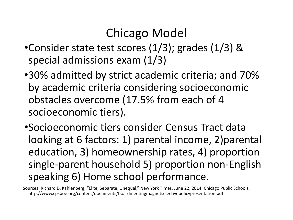### Chicago Model

- •Consider state test scores (1/3); grades (1/3) & special admissions exam (1/3)
- •30% admitted by strict academic criteria; and 70% by academic criteria considering socioeconomic obstacles overcome (17.5% from each of 4 socioeconomic tiers).
- •Socioeconomic tiers consider Census Tract data looking at 6 factors: 1) parental income, 2)parental education, 3) homeownership rates, 4) proportion single-parent household 5) proportion non-English speaking 6) Home school performance.

Sources: Richard D. Kahlenberg, "Elite, Separate, Unequal," New York Times, June 22, 2014; Chicago Public Schools, http://www.cpsboe.org/content/documents/boardmeetingmagnetselectivepolicypresentation.pdf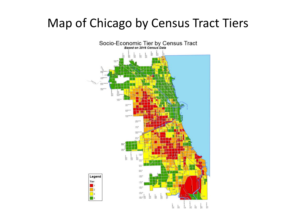#### Map of Chicago by Census Tract Tiers

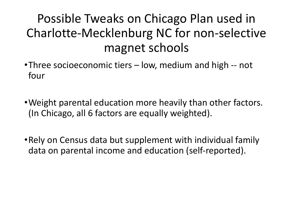## Possible Tweaks on Chicago Plan used in Charlotte-Mecklenburg NC for non-selective magnet schools

- •Three socioeconomic tiers low, medium and high -- not four
- •Weight parental education more heavily than other factors. (In Chicago, all 6 factors are equally weighted).
- •Rely on Census data but supplement with individual family data on parental income and education (self-reported).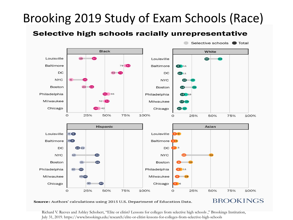## Brooking 2019 Study of Exam Schools (Race)

#### Selective high schools racially unrepresentative



Source: Authors' calculations using 2015 U.S. Department of Education Data.

**BROOKINGS** 

Richard V. Reeves and Ashley Schobert, "Elite or elitist? Lessons for colleges from selective high schools ," Brookings Institution, July 31, 2019. https://www.brookings.edu/research/elite-or-elitist-lessons-for-colleges-from-selective-high-schools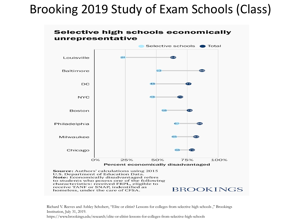#### Brooking 2019 Study of Exam Schools (Class)





homeless, under the care of CFSA.

Richard V. Reeves and Ashley Schobert, "Elite or elitist? Lessons for colleges from selective high schools ," Brookings Institution, July 31, 2019.

https://www.brookings.edu/research/elite-or-elitist-lessons-for-colleges-from-selective-high-schools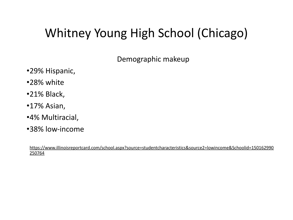## Whitney Young High School (Chicago)

Demographic makeup

- •29% Hispanic,
- •28% white
- •21% Black,
- •17% Asian,
- •4% Multiracial,
- •38% low-income

[https://www.illinoisreportcard.com/school.aspx?source=studentcharacteristics&source2=lowincome&Schoolid=150162990](https://www.illinoisreportcard.com/school.aspx?source=studentcharacteristics&source2=lowincome&Schoolid=150162990250764) [250764](https://www.illinoisreportcard.com/school.aspx?source=studentcharacteristics&source2=lowincome&Schoolid=150162990250764)